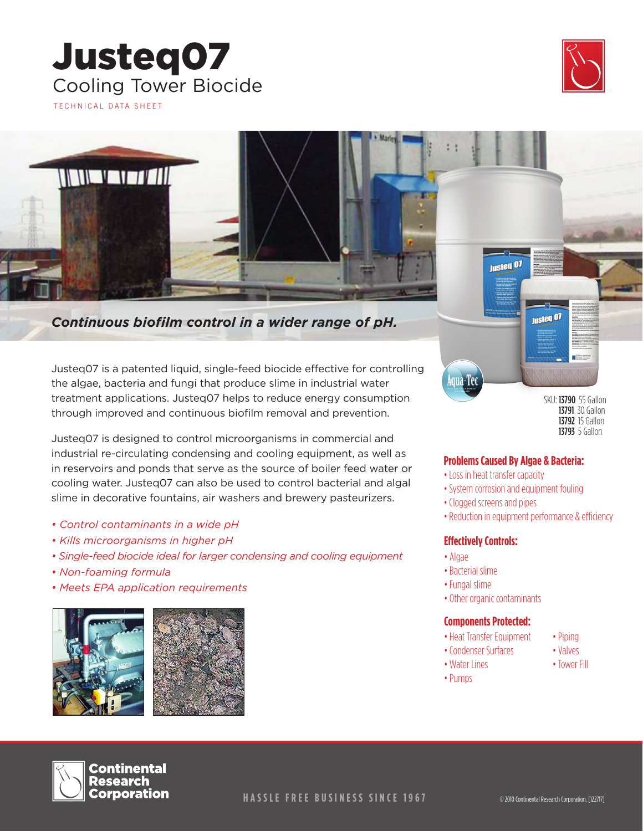## Justeq07 Cooling Tower Biocide TECHNICAL DATA SHEET



*Continuous biofilm control in a wider range of pH.* 

Justeq07 is a patented liquid, single-feed biocide effective for controlling the algae, bacteria and fungi that produce slime in industrial water treatment applications. Justeq07 helps to reduce energy consumption through improved and continuous biofilm removal and prevention.

Justeq07 is designed to control microorganisms in commercial and industrial re-circulating condensing and cooling equipment, as well as in reservoirs and ponds that serve as the source of boiler feed water or cooling water. Justeq07 can also be used to control bacterial and algal slime in decorative fountains, air washers and brewery pasteurizers.

- *Control contaminants in a wide pH*
- *Kills microorganisms in higher pH*
- *Single-feed biocide ideal for larger condensing and cooling equipment*
- *Non-foaming formula*
- *Meets EPA application requirements*





SKU: 13790 55 Gallon 13791 30 Gallon 13792 15 Gallon 13793 5 Gallon

### **Problems Caused By Algae & Bacteria:**

- Loss in heat transfer capacity
- System corrosion and equipment fouling
- Clogged screens and pipes
- Reduction in equipment performance & efficiency

### **Effectively Controls:**

• Algae

loua-Tec

• Bacterial slime

• Water Lines • Pumps

- Fungal slime
- Other organic contaminants

#### **Components Protected:**

- Heat Transfer Equipment • Condenser Surfaces
- Piping • Valves
- Tower Fill